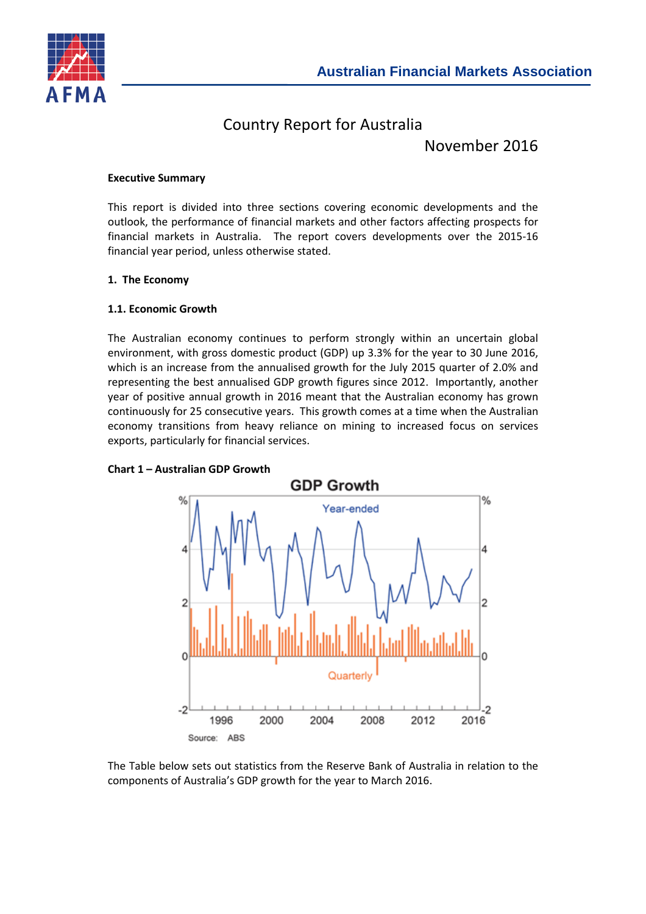

# Country Report for Australia

November 2016

## **Executive Summary**

This report is divided into three sections covering economic developments and the outlook, the performance of financial markets and other factors affecting prospects for financial markets in Australia. The report covers developments over the 2015-16 financial year period, unless otherwise stated.

# **1. The Economy**

## **1.1. Economic Growth**

The Australian economy continues to perform strongly within an uncertain global environment, with gross domestic product (GDP) up 3.3% for the year to 30 June 2016, which is an increase from the annualised growth for the July 2015 quarter of 2.0% and representing the best annualised GDP growth figures since 2012. Importantly, another year of positive annual growth in 2016 meant that the Australian economy has grown continuously for 25 consecutive years. This growth comes at a time when the Australian economy transitions from heavy reliance on mining to increased focus on services exports, particularly for financial services.



# **Chart 1 – Australian GDP Growth**

The Table below sets out statistics from the Reserve Bank of Australia in relation to the components of Australia's GDP growth for the year to March 2016.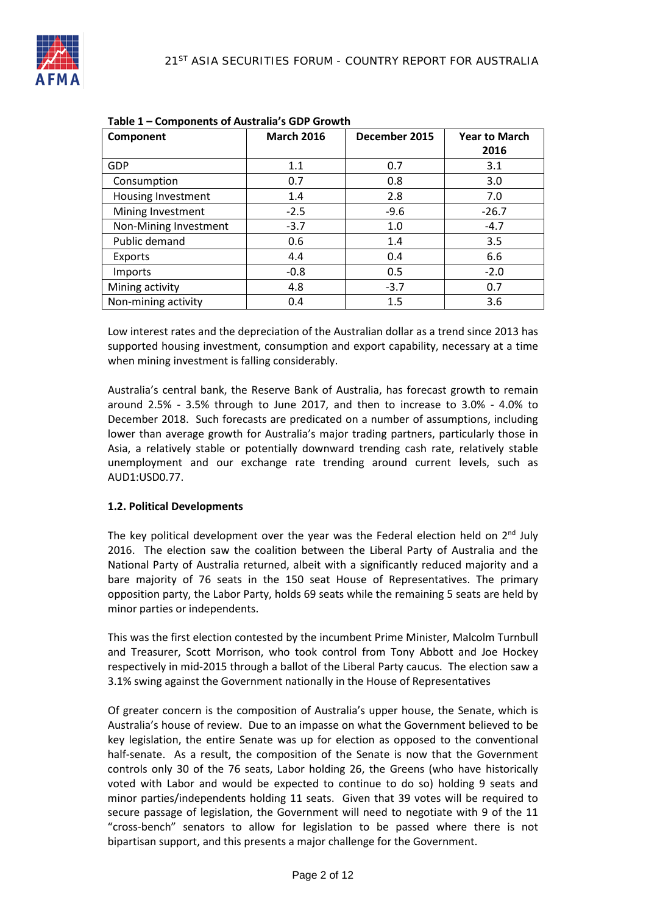| Component             | <b>March 2016</b> | December 2015 | <b>Year to March</b> |
|-----------------------|-------------------|---------------|----------------------|
|                       |                   |               | 2016                 |
| <b>GDP</b>            | 1.1               | 0.7           | 3.1                  |
| Consumption           | 0.7               | 0.8           | 3.0                  |
| Housing Investment    | 1.4               | 2.8           | 7.0                  |
| Mining Investment     | $-2.5$            | $-9.6$        | $-26.7$              |
| Non-Mining Investment | $-3.7$            | 1.0           | $-4.7$               |
| Public demand         | 0.6               | 1.4           | 3.5                  |
| Exports               | 4.4               | 0.4           | 6.6                  |
| <b>Imports</b>        | $-0.8$            | 0.5           | $-2.0$               |
| Mining activity       | 4.8               | $-3.7$        | 0.7                  |
| Non-mining activity   | 0.4               | 1.5           | 3.6                  |

Low interest rates and the depreciation of the Australian dollar as a trend since 2013 has supported housing investment, consumption and export capability, necessary at a time when mining investment is falling considerably.

Australia's central bank, the Reserve Bank of Australia, has forecast growth to remain around 2.5% - 3.5% through to June 2017, and then to increase to 3.0% - 4.0% to December 2018. Such forecasts are predicated on a number of assumptions, including lower than average growth for Australia's major trading partners, particularly those in Asia, a relatively stable or potentially downward trending cash rate, relatively stable unemployment and our exchange rate trending around current levels, such as AUD1:USD0.77.

#### **1.2. Political Developments**

The key political development over the year was the Federal election held on  $2<sup>nd</sup>$  July 2016. The election saw the coalition between the Liberal Party of Australia and the National Party of Australia returned, albeit with a significantly reduced majority and a bare majority of 76 seats in the 150 seat House of Representatives. The primary opposition party, the Labor Party, holds 69 seats while the remaining 5 seats are held by minor parties or independents.

This was the first election contested by the incumbent Prime Minister, Malcolm Turnbull and Treasurer, Scott Morrison, who took control from Tony Abbott and Joe Hockey respectively in mid-2015 through a ballot of the Liberal Party caucus. The election saw a 3.1% swing against the Government nationally in the House of Representatives

Of greater concern is the composition of Australia's upper house, the Senate, which is Australia's house of review. Due to an impasse on what the Government believed to be key legislation, the entire Senate was up for election as opposed to the conventional half-senate. As a result, the composition of the Senate is now that the Government controls only 30 of the 76 seats, Labor holding 26, the Greens (who have historically voted with Labor and would be expected to continue to do so) holding 9 seats and minor parties/independents holding 11 seats. Given that 39 votes will be required to secure passage of legislation, the Government will need to negotiate with 9 of the 11 "cross-bench" senators to allow for legislation to be passed where there is not bipartisan support, and this presents a major challenge for the Government.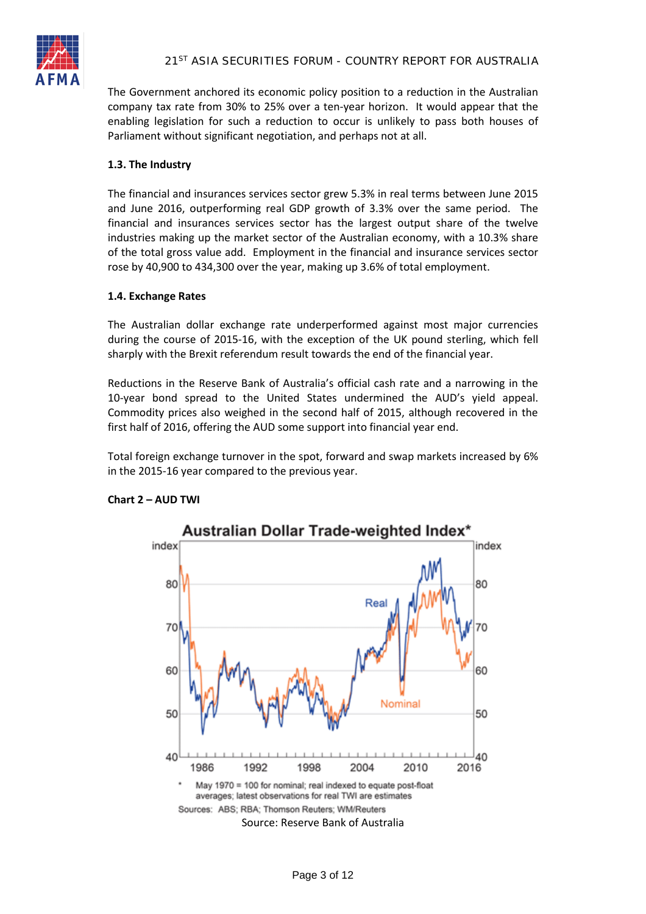

The Government anchored its economic policy position to a reduction in the Australian company tax rate from 30% to 25% over a ten-year horizon. It would appear that the enabling legislation for such a reduction to occur is unlikely to pass both houses of Parliament without significant negotiation, and perhaps not at all.

## **1.3. The Industry**

The financial and insurances services sector grew 5.3% in real terms between June 2015 and June 2016, outperforming real GDP growth of 3.3% over the same period. The financial and insurances services sector has the largest output share of the twelve industries making up the market sector of the Australian economy, with a 10.3% share of the total gross value add. Employment in the financial and insurance services sector rose by 40,900 to 434,300 over the year, making up 3.6% of total employment.

#### **1.4. Exchange Rates**

The Australian dollar exchange rate underperformed against most major currencies during the course of 2015-16, with the exception of the UK pound sterling, which fell sharply with the Brexit referendum result towards the end of the financial year.

Reductions in the Reserve Bank of Australia's official cash rate and a narrowing in the 10-year bond spread to the United States undermined the AUD's yield appeal. Commodity prices also weighed in the second half of 2015, although recovered in the first half of 2016, offering the AUD some support into financial year end.

Total foreign exchange turnover in the spot, forward and swap markets increased by 6% in the 2015-16 year compared to the previous year.



# **Chart 2 – AUD TWI**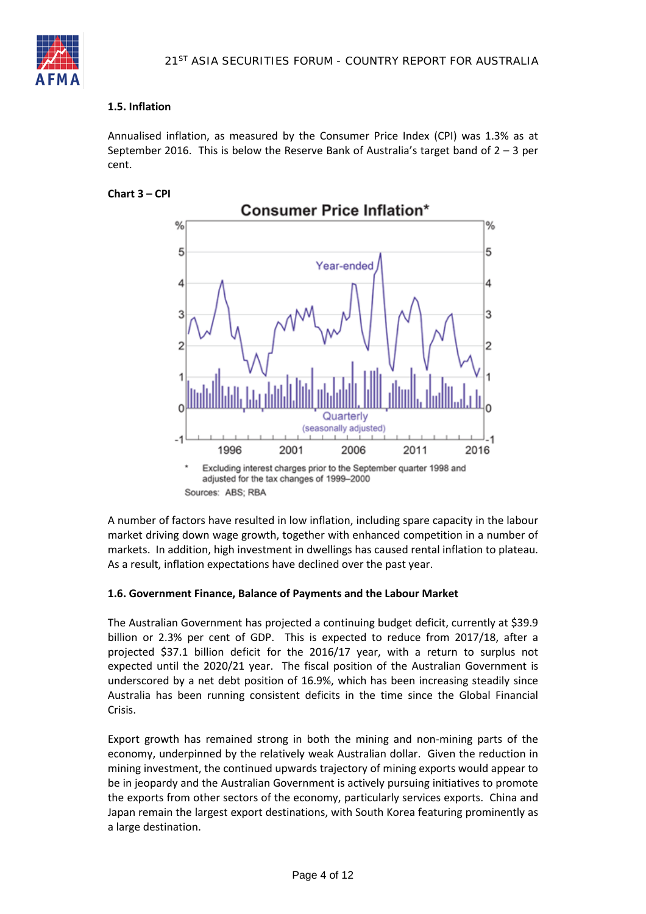

### **1.5. Inflation**

Annualised inflation, as measured by the Consumer Price Index (CPI) was 1.3% as at September 2016. This is below the Reserve Bank of Australia's target band of  $2 - 3$  per cent.

**Chart 3 – CPI**



adjusted for the tax changes of 1999-2000 Sources: ABS; RBA

A number of factors have resulted in low inflation, including spare capacity in the labour market driving down wage growth, together with enhanced competition in a number of markets. In addition, high investment in dwellings has caused rental inflation to plateau. As a result, inflation expectations have declined over the past year.

#### **1.6. Government Finance, Balance of Payments and the Labour Market**

The Australian Government has projected a continuing budget deficit, currently at \$39.9 billion or 2.3% per cent of GDP. This is expected to reduce from 2017/18, after a projected \$37.1 billion deficit for the 2016/17 year, with a return to surplus not expected until the 2020/21 year. The fiscal position of the Australian Government is underscored by a net debt position of 16.9%, which has been increasing steadily since Australia has been running consistent deficits in the time since the Global Financial Crisis.

Export growth has remained strong in both the mining and non-mining parts of the economy, underpinned by the relatively weak Australian dollar. Given the reduction in mining investment, the continued upwards trajectory of mining exports would appear to be in jeopardy and the Australian Government is actively pursuing initiatives to promote the exports from other sectors of the economy, particularly services exports. China and Japan remain the largest export destinations, with South Korea featuring prominently as a large destination.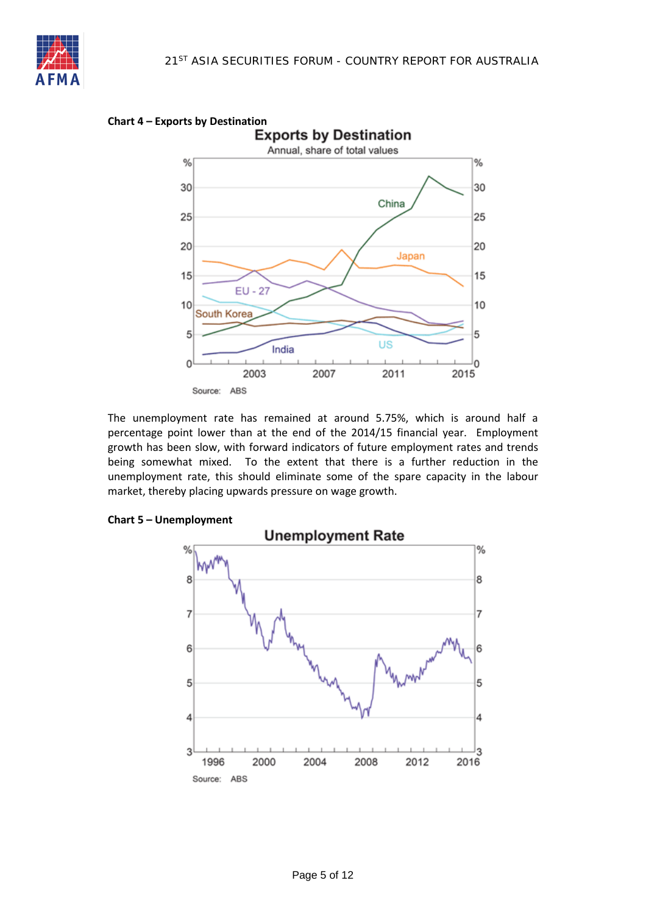



The unemployment rate has remained at around 5.75%, which is around half a percentage point lower than at the end of the 2014/15 financial year. Employment growth has been slow, with forward indicators of future employment rates and trends being somewhat mixed. To the extent that there is a further reduction in the unemployment rate, this should eliminate some of the spare capacity in the labour market, thereby placing upwards pressure on wage growth.

#### **Chart 5 – Unemployment**

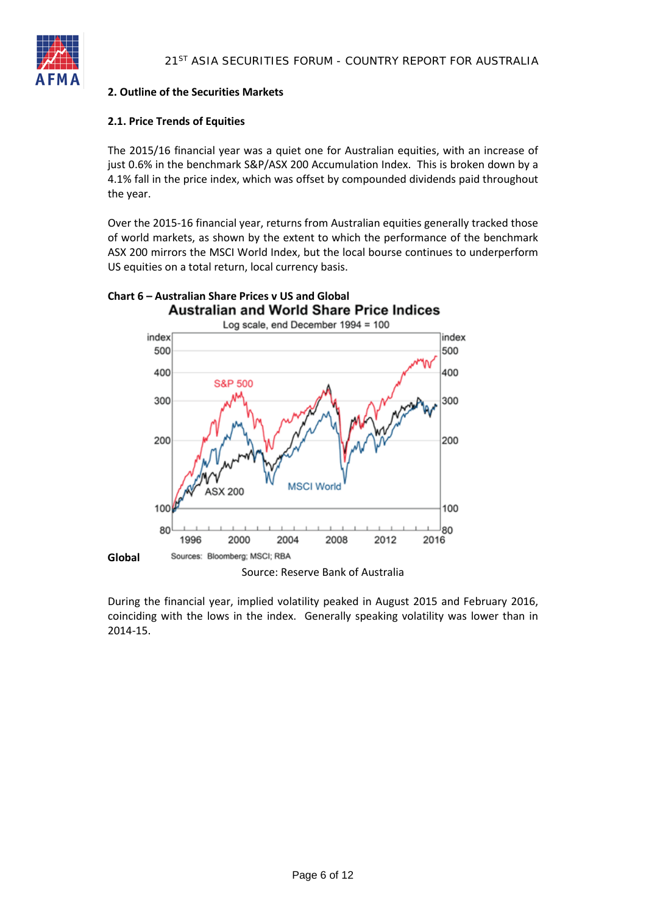

# **2. Outline of the Securities Markets**

## **2.1. Price Trends of Equities**

The 2015/16 financial year was a quiet one for Australian equities, with an increase of just 0.6% in the benchmark S&P/ASX 200 Accumulation Index. This is broken down by a 4.1% fall in the price index, which was offset by compounded dividends paid throughout the year.

Over the 2015-16 financial year, returns from Australian equities generally tracked those of world markets, as shown by the extent to which the performance of the benchmark ASX 200 mirrors the MSCI World Index, but the local bourse continues to underperform US equities on a total return, local currency basis.



During the financial year, implied volatility peaked in August 2015 and February 2016, coinciding with the lows in the index. Generally speaking volatility was lower than in 2014-15.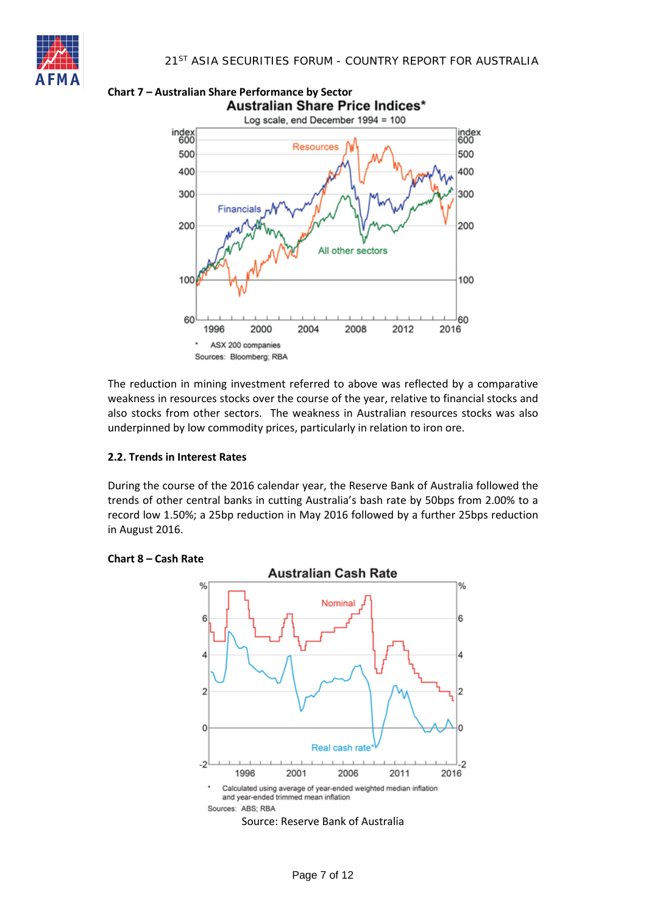





The reduction in mining investment referred to above was reflected by a comparative weakness in resources stocks over the course of the year, relative to financial stocks and also stocks from other sectors. The weakness in Australian resources stocks was also underpinned by low commodity prices, particularly in relation to iron ore.

#### **2.2. Trends in Interest Rates**

During the course of the 2016 calendar year, the Reserve Bank of Australia followed the trends of other central banks in cutting Australia's bash rate by 50bps from 2.00% to a record low 1.50%; a 25bp reduction in May 2016 followed by a further 25bps reduction in August 2016.



## **Chart 8 – Cash Rate**

Source: Reserve Bank of Australia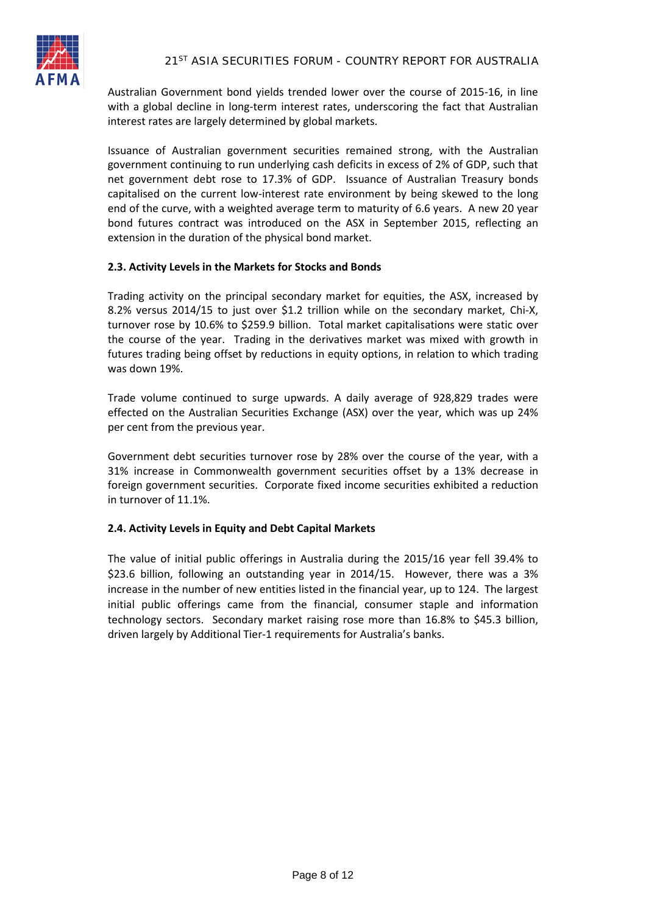

Australian Government bond yields trended lower over the course of 2015-16, in line with a global decline in long-term interest rates, underscoring the fact that Australian interest rates are largely determined by global markets.

Issuance of Australian government securities remained strong, with the Australian government continuing to run underlying cash deficits in excess of 2% of GDP, such that net government debt rose to 17.3% of GDP. Issuance of Australian Treasury bonds capitalised on the current low-interest rate environment by being skewed to the long end of the curve, with a weighted average term to maturity of 6.6 years. A new 20 year bond futures contract was introduced on the ASX in September 2015, reflecting an extension in the duration of the physical bond market.

## **2.3. Activity Levels in the Markets for Stocks and Bonds**

Trading activity on the principal secondary market for equities, the ASX, increased by 8.2% versus 2014/15 to just over \$1.2 trillion while on the secondary market, Chi-X, turnover rose by 10.6% to \$259.9 billion. Total market capitalisations were static over the course of the year. Trading in the derivatives market was mixed with growth in futures trading being offset by reductions in equity options, in relation to which trading was down 19%.

Trade volume continued to surge upwards. A daily average of 928,829 trades were effected on the Australian Securities Exchange (ASX) over the year, which was up 24% per cent from the previous year.

Government debt securities turnover rose by 28% over the course of the year, with a 31% increase in Commonwealth government securities offset by a 13% decrease in foreign government securities. Corporate fixed income securities exhibited a reduction in turnover of 11.1%.

#### **2.4. Activity Levels in Equity and Debt Capital Markets**

The value of initial public offerings in Australia during the 2015/16 year fell 39.4% to \$23.6 billion, following an outstanding year in 2014/15. However, there was a 3% increase in the number of new entities listed in the financial year, up to 124. The largest initial public offerings came from the financial, consumer staple and information technology sectors. Secondary market raising rose more than 16.8% to \$45.3 billion, driven largely by Additional Tier-1 requirements for Australia's banks.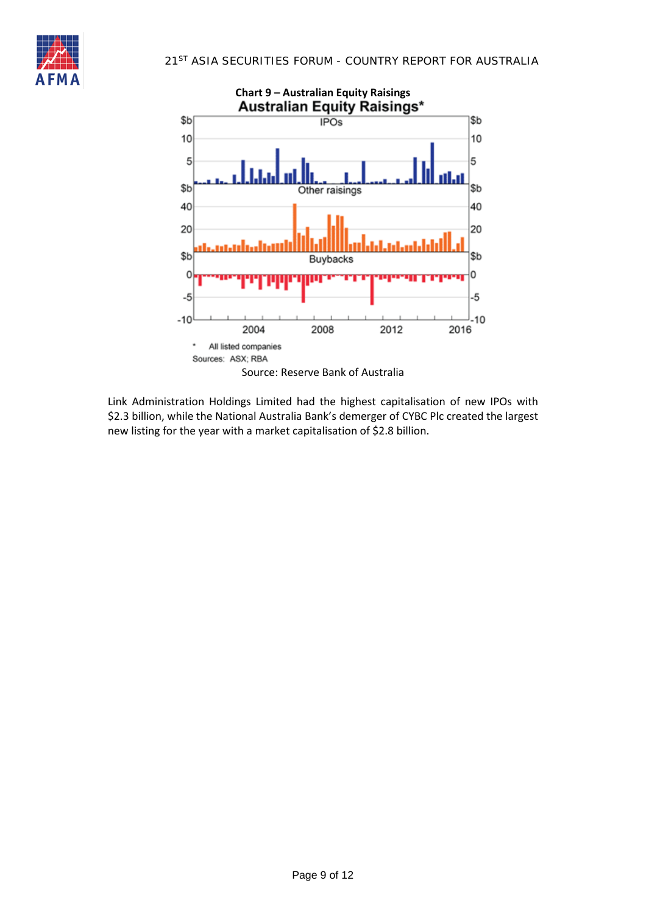



Link Administration Holdings Limited had the highest capitalisation of new IPOs with \$2.3 billion, while the National Australia Bank's demerger of CYBC Plc created the largest new listing for the year with a market capitalisation of \$2.8 billion.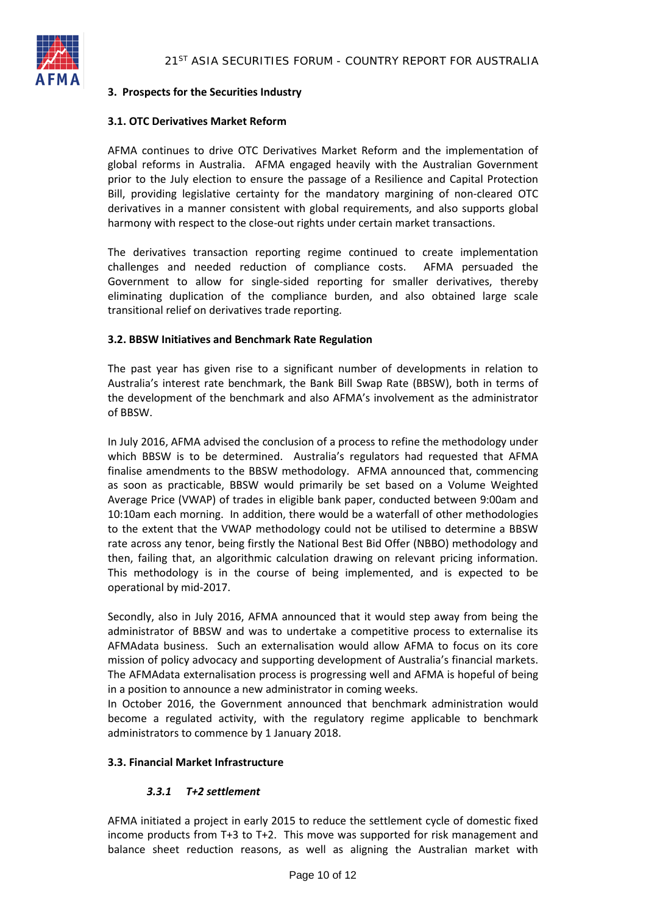

# **3. Prospects for the Securities Industry**

## **3.1. OTC Derivatives Market Reform**

AFMA continues to drive OTC Derivatives Market Reform and the implementation of global reforms in Australia. AFMA engaged heavily with the Australian Government prior to the July election to ensure the passage of a Resilience and Capital Protection Bill, providing legislative certainty for the mandatory margining of non-cleared OTC derivatives in a manner consistent with global requirements, and also supports global harmony with respect to the close-out rights under certain market transactions.

The derivatives transaction reporting regime continued to create implementation challenges and needed reduction of compliance costs. AFMA persuaded the Government to allow for single-sided reporting for smaller derivatives, thereby eliminating duplication of the compliance burden, and also obtained large scale transitional relief on derivatives trade reporting.

## **3.2. BBSW Initiatives and Benchmark Rate Regulation**

The past year has given rise to a significant number of developments in relation to Australia's interest rate benchmark, the Bank Bill Swap Rate (BBSW), both in terms of the development of the benchmark and also AFMA's involvement as the administrator of BBSW.

In July 2016, AFMA advised the conclusion of a process to refine the methodology under which BBSW is to be determined. Australia's regulators had requested that AFMA finalise amendments to the BBSW methodology. AFMA announced that, commencing as soon as practicable, BBSW would primarily be set based on a Volume Weighted Average Price (VWAP) of trades in eligible bank paper, conducted between 9:00am and 10:10am each morning. In addition, there would be a waterfall of other methodologies to the extent that the VWAP methodology could not be utilised to determine a BBSW rate across any tenor, being firstly the National Best Bid Offer (NBBO) methodology and then, failing that, an algorithmic calculation drawing on relevant pricing information. This methodology is in the course of being implemented, and is expected to be operational by mid-2017.

Secondly, also in July 2016, AFMA announced that it would step away from being the administrator of BBSW and was to undertake a competitive process to externalise its AFMAdata business. Such an externalisation would allow AFMA to focus on its core mission of policy advocacy and supporting development of Australia's financial markets. The AFMAdata externalisation process is progressing well and AFMA is hopeful of being in a position to announce a new administrator in coming weeks.

In October 2016, the Government announced that benchmark administration would become a regulated activity, with the regulatory regime applicable to benchmark administrators to commence by 1 January 2018.

#### **3.3. Financial Market Infrastructure**

# *3.3.1 T+2 settlement*

AFMA initiated a project in early 2015 to reduce the settlement cycle of domestic fixed income products from T+3 to T+2. This move was supported for risk management and balance sheet reduction reasons, as well as aligning the Australian market with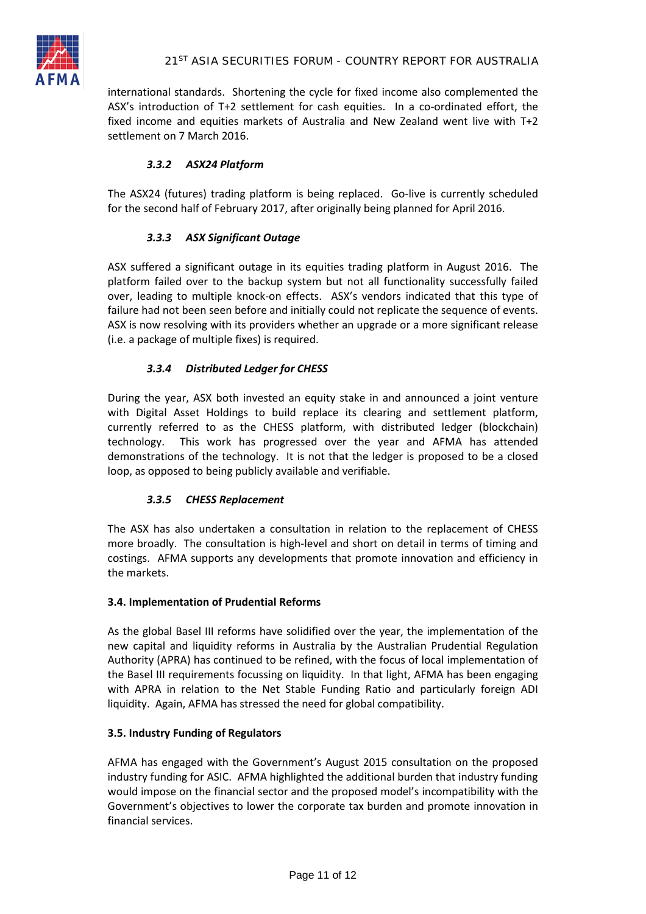

international standards. Shortening the cycle for fixed income also complemented the ASX's introduction of T+2 settlement for cash equities. In a co-ordinated effort, the fixed income and equities markets of Australia and New Zealand went live with T+2 settlement on 7 March 2016.

# *3.3.2 ASX24 Platform*

The ASX24 (futures) trading platform is being replaced. Go-live is currently scheduled for the second half of February 2017, after originally being planned for April 2016.

# *3.3.3 ASX Significant Outage*

ASX suffered a significant outage in its equities trading platform in August 2016. The platform failed over to the backup system but not all functionality successfully failed over, leading to multiple knock-on effects. ASX's vendors indicated that this type of failure had not been seen before and initially could not replicate the sequence of events. ASX is now resolving with its providers whether an upgrade or a more significant release (i.e. a package of multiple fixes) is required.

# *3.3.4 Distributed Ledger for CHESS*

During the year, ASX both invested an equity stake in and announced a joint venture with Digital Asset Holdings to build replace its clearing and settlement platform, currently referred to as the CHESS platform, with distributed ledger (blockchain) technology. This work has progressed over the year and AFMA has attended demonstrations of the technology. It is not that the ledger is proposed to be a closed loop, as opposed to being publicly available and verifiable.

#### *3.3.5 CHESS Replacement*

The ASX has also undertaken a consultation in relation to the replacement of CHESS more broadly. The consultation is high-level and short on detail in terms of timing and costings. AFMA supports any developments that promote innovation and efficiency in the markets.

#### **3.4. Implementation of Prudential Reforms**

As the global Basel III reforms have solidified over the year, the implementation of the new capital and liquidity reforms in Australia by the Australian Prudential Regulation Authority (APRA) has continued to be refined, with the focus of local implementation of the Basel III requirements focussing on liquidity. In that light, AFMA has been engaging with APRA in relation to the Net Stable Funding Ratio and particularly foreign ADI liquidity. Again, AFMA has stressed the need for global compatibility.

#### **3.5. Industry Funding of Regulators**

AFMA has engaged with the Government's August 2015 consultation on the proposed industry funding for ASIC. AFMA highlighted the additional burden that industry funding would impose on the financial sector and the proposed model's incompatibility with the Government's objectives to lower the corporate tax burden and promote innovation in financial services.